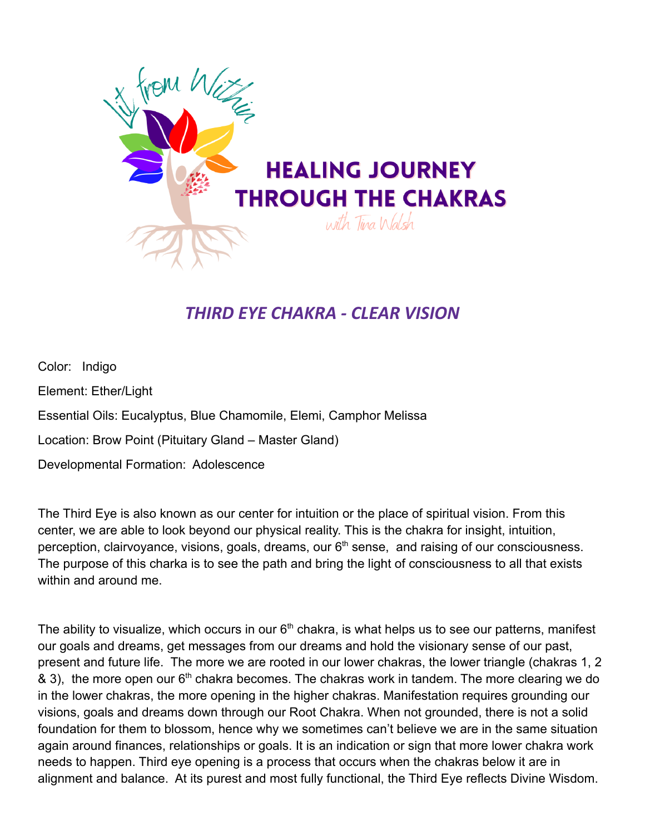

## *THIRD EYE CHAKRA - CLEAR VISION*

Color: Indigo Element: Ether/Light Essential Oils: Eucalyptus, Blue Chamomile, Elemi, Camphor Melissa Location: Brow Point (Pituitary Gland – Master Gland) Developmental Formation: Adolescence

The Third Eye is also known as our center for intuition or the place of spiritual vision. From this center, we are able to look beyond our physical reality. This is the chakra for insight, intuition, perception, clairvoyance, visions, goals, dreams, our  $6<sup>th</sup>$  sense, and raising of our consciousness. The purpose of this charka is to see the path and bring the light of consciousness to all that exists within and around me.

The ability to visualize, which occurs in our  $6<sup>th</sup>$  chakra, is what helps us to see our patterns, manifest our goals and dreams, get messages from our dreams and hold the visionary sense of our past, present and future life. The more we are rooted in our lower chakras, the lower triangle (chakras 1, 2  $\&$  3), the more open our 6<sup>th</sup> chakra becomes. The chakras work in tandem. The more clearing we do in the lower chakras, the more opening in the higher chakras. Manifestation requires grounding our visions, goals and dreams down through our Root Chakra. When not grounded, there is not a solid foundation for them to blossom, hence why we sometimes can't believe we are in the same situation again around finances, relationships or goals. It is an indication or sign that more lower chakra work needs to happen. Third eye opening is a process that occurs when the chakras below it are in alignment and balance. At its purest and most fully functional, the Third Eye reflects Divine Wisdom.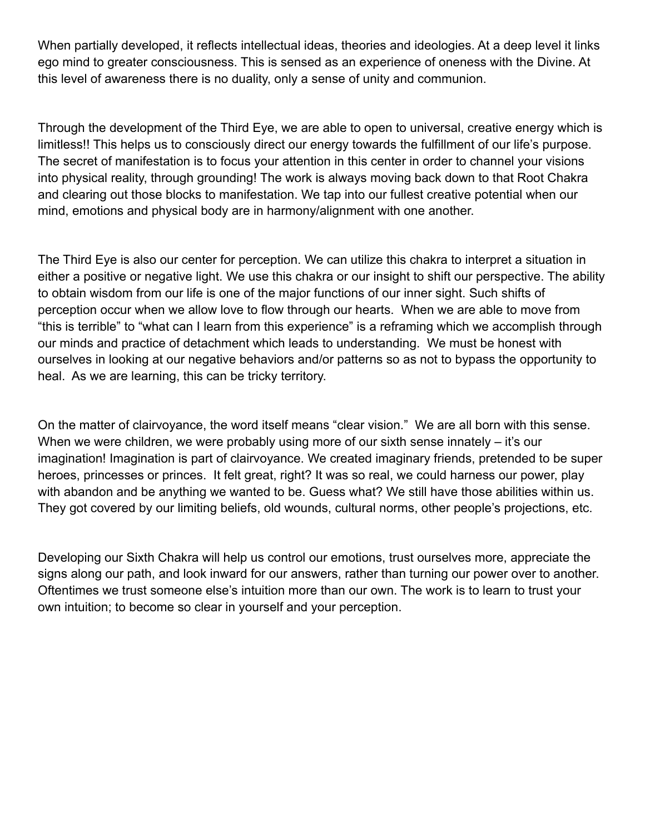When partially developed, it reflects intellectual ideas, theories and ideologies. At a deep level it links ego mind to greater consciousness. This is sensed as an experience of oneness with the Divine. At this level of awareness there is no duality, only a sense of unity and communion.

Through the development of the Third Eye, we are able to open to universal, creative energy which is limitless!! This helps us to consciously direct our energy towards the fulfillment of our life's purpose. The secret of manifestation is to focus your attention in this center in order to channel your visions into physical reality, through grounding! The work is always moving back down to that Root Chakra and clearing out those blocks to manifestation. We tap into our fullest creative potential when our mind, emotions and physical body are in harmony/alignment with one another.

The Third Eye is also our center for perception. We can utilize this chakra to interpret a situation in either a positive or negative light. We use this chakra or our insight to shift our perspective. The ability to obtain wisdom from our life is one of the major functions of our inner sight. Such shifts of perception occur when we allow love to flow through our hearts. When we are able to move from "this is terrible" to "what can I learn from this experience" is a reframing which we accomplish through our minds and practice of detachment which leads to understanding. We must be honest with ourselves in looking at our negative behaviors and/or patterns so as not to bypass the opportunity to heal. As we are learning, this can be tricky territory.

On the matter of clairvoyance, the word itself means "clear vision." We are all born with this sense. When we were children, we were probably using more of our sixth sense innately – it's our imagination! Imagination is part of clairvoyance. We created imaginary friends, pretended to be super heroes, princesses or princes. It felt great, right? It was so real, we could harness our power, play with abandon and be anything we wanted to be. Guess what? We still have those abilities within us. They got covered by our limiting beliefs, old wounds, cultural norms, other people's projections, etc.

Developing our Sixth Chakra will help us control our emotions, trust ourselves more, appreciate the signs along our path, and look inward for our answers, rather than turning our power over to another. Oftentimes we trust someone else's intuition more than our own. The work is to learn to trust your own intuition; to become so clear in yourself and your perception.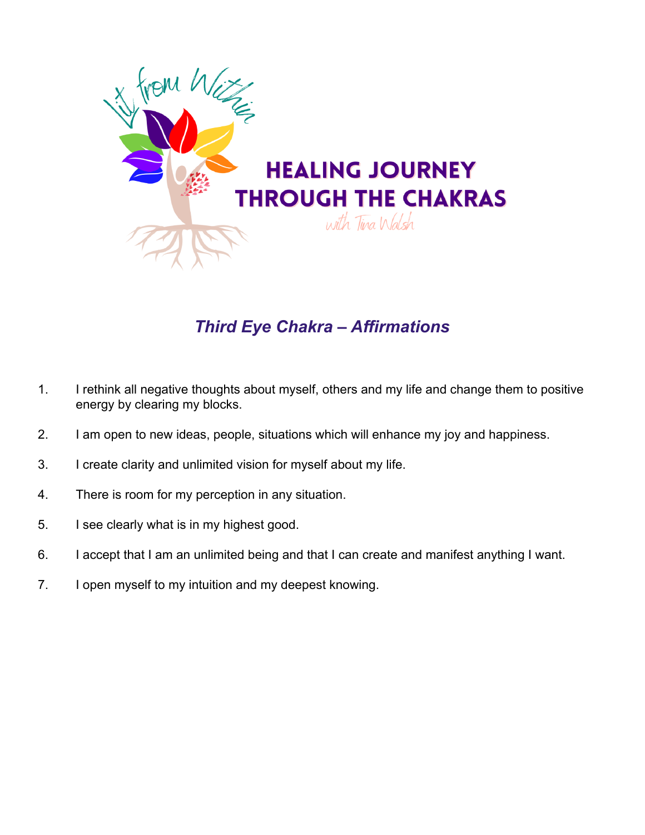

## *Third Eye Chakra – Affirmations*

- 1. I rethink all negative thoughts about myself, others and my life and change them to positive energy by clearing my blocks.
- 2. I am open to new ideas, people, situations which will enhance my joy and happiness.
- 3. I create clarity and unlimited vision for myself about my life.
- 4. There is room for my perception in any situation.
- 5. I see clearly what is in my highest good.
- 6. I accept that I am an unlimited being and that I can create and manifest anything I want.
- 7. I open myself to my intuition and my deepest knowing.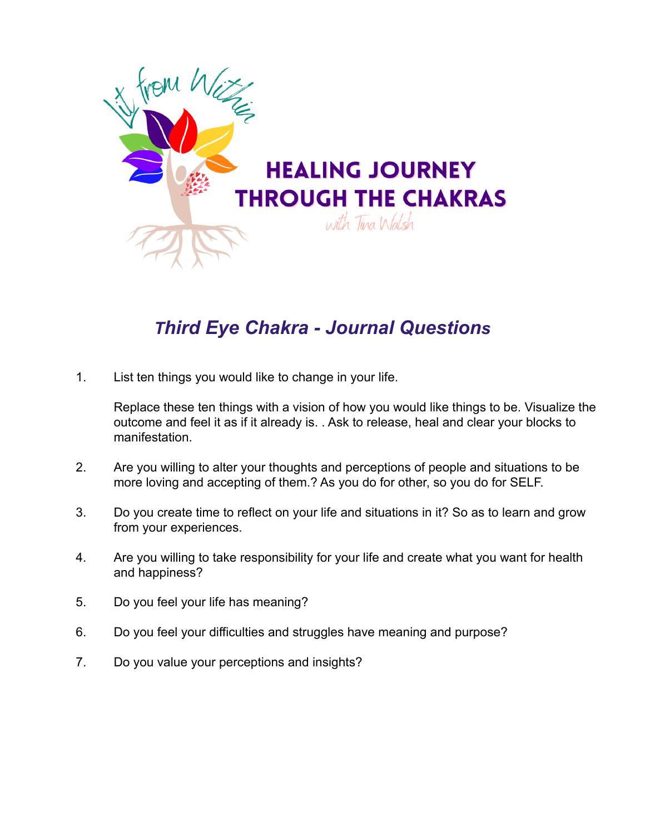

# *Third Eye Chakra - Journal Questions*

1. List ten things you would like to change in your life.

Replace these ten things with a vision of how you would like things to be. Visualize the outcome and feel it as if it already is. . Ask to release, heal and clear your blocks to manifestation.

- 2. Are you willing to alter your thoughts and perceptions of people and situations to be more loving and accepting of them.? As you do for other, so you do for SELF.
- 3. Do you create time to reflect on your life and situations in it? So as to learn and grow from your experiences.
- 4. Are you willing to take responsibility for your life and create what you want for health and happiness?
- 5. Do you feel your life has meaning?
- 6. Do you feel your difficulties and struggles have meaning and purpose?
- 7. Do you value your perceptions and insights?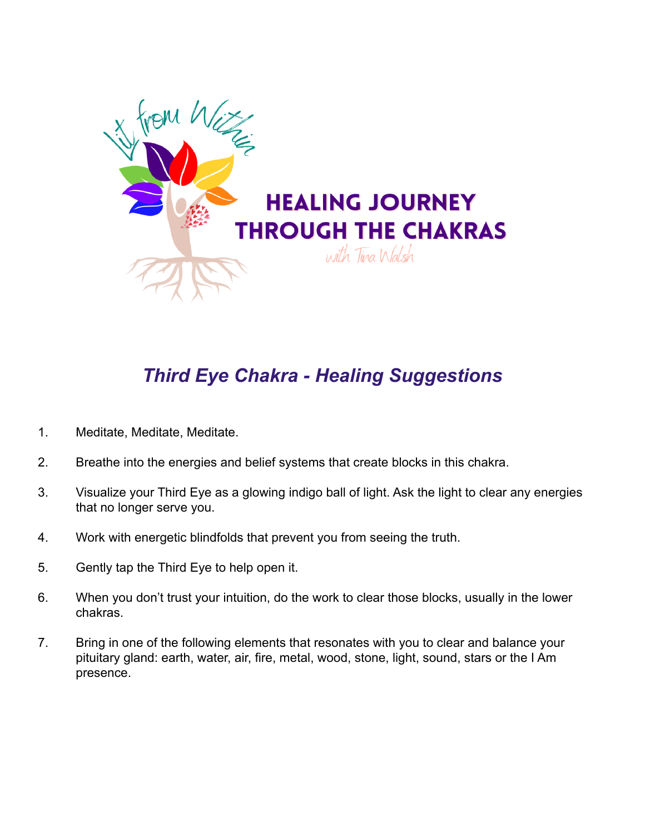

# *Third Eye Chakra - Healing Suggestions*

- 1. Meditate, Meditate, Meditate.
- 2. Breathe into the energies and belief systems that create blocks in this chakra.
- 3. Visualize your Third Eye as a glowing indigo ball of light. Ask the light to clear any energies that no longer serve you.
- 4. Work with energetic blindfolds that prevent you from seeing the truth.
- 5. Gently tap the Third Eye to help open it.
- 6. When you don't trust your intuition, do the work to clear those blocks, usually in the lower chakras.
- 7. Bring in one of the following elements that resonates with you to clear and balance your pituitary gland: earth, water, air, fire, metal, wood, stone, light, sound, stars or the I Am presence.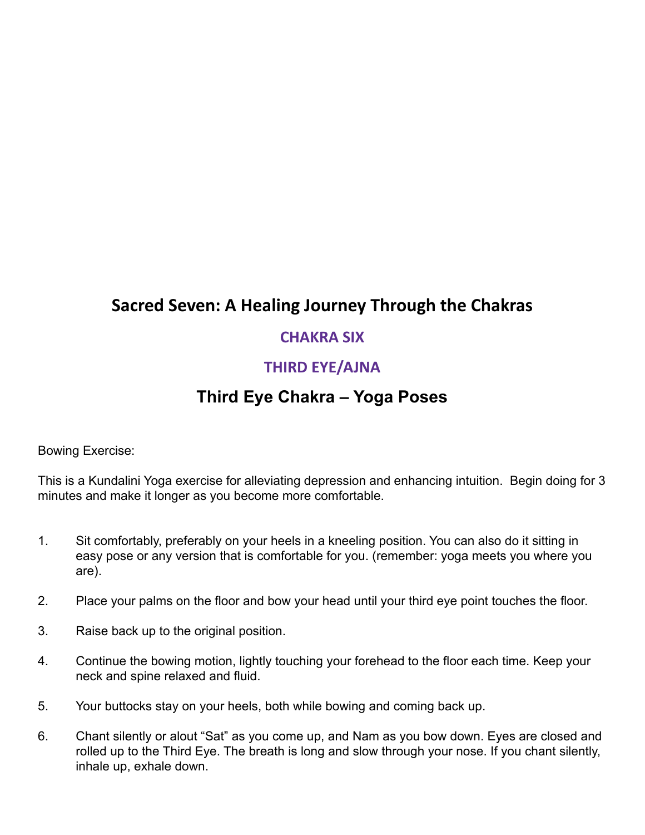### **Sacred Seven: A Healing Journey Through the Chakras**

#### **CHAKRA SIX**

#### **THIRD EYE/AJNA**

### **Third Eye Chakra – Yoga Poses**

Bowing Exercise:

This is a Kundalini Yoga exercise for alleviating depression and enhancing intuition. Begin doing for 3 minutes and make it longer as you become more comfortable.

- 1. Sit comfortably, preferably on your heels in a kneeling position. You can also do it sitting in easy pose or any version that is comfortable for you. (remember: yoga meets you where you are).
- 2. Place your palms on the floor and bow your head until your third eye point touches the floor.
- 3. Raise back up to the original position.
- 4. Continue the bowing motion, lightly touching your forehead to the floor each time. Keep your neck and spine relaxed and fluid.
- 5. Your buttocks stay on your heels, both while bowing and coming back up.
- 6. Chant silently or alout "Sat" as you come up, and Nam as you bow down. Eyes are closed and rolled up to the Third Eye. The breath is long and slow through your nose. If you chant silently, inhale up, exhale down.